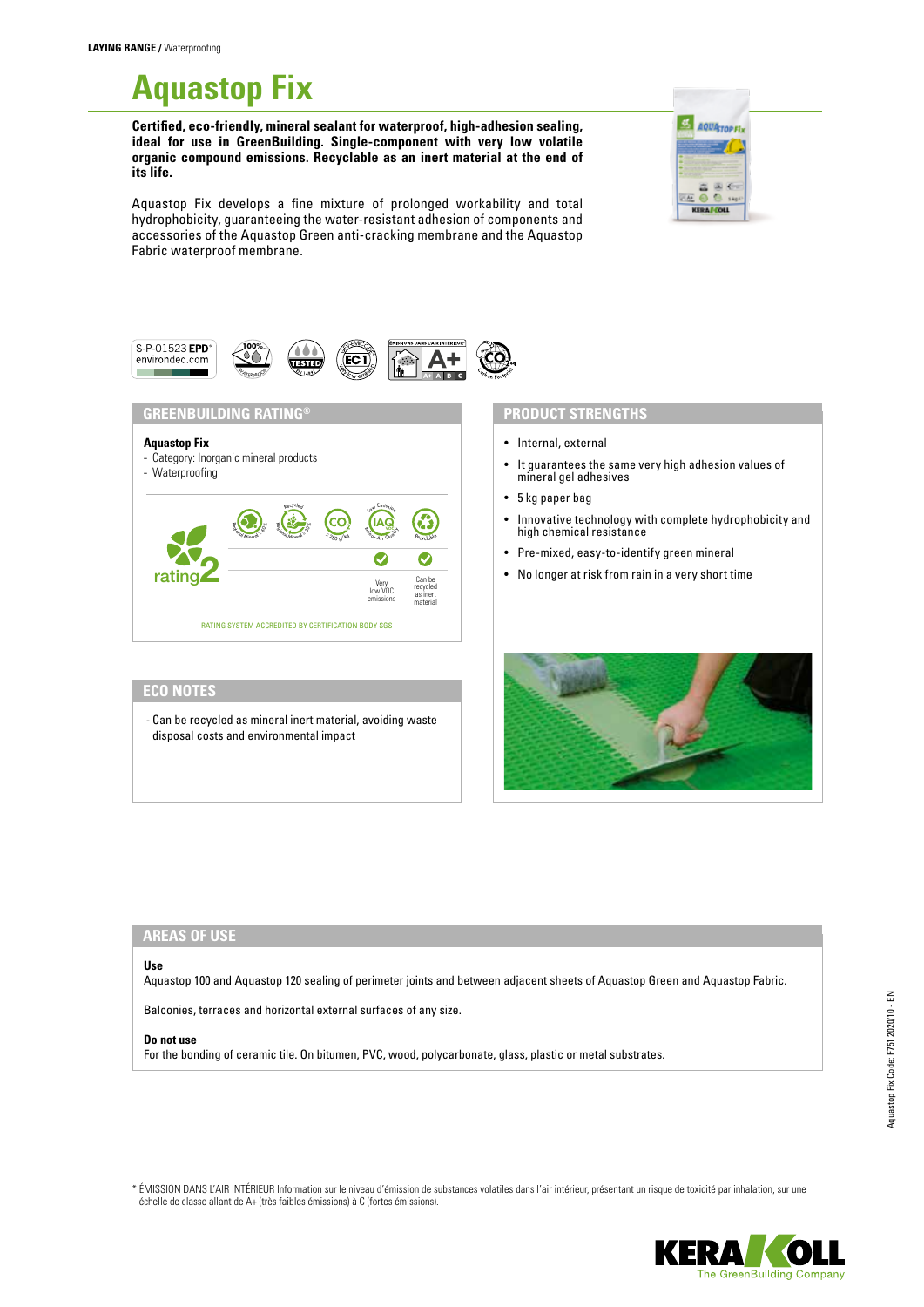# **Aquastop Fix**

**Certified, eco-friendly, mineral sealant for waterproof, high-adhesion sealing, ideal for use in GreenBuilding. Single-component with very low volatile organic compound emissions. Recyclable as an inert material at the end of its life.**



Aquastop Fix develops a fine mixture of prolonged workability and total hydrophobicity, guaranteeing the water-resistant adhesion of components and accessories of the Aquastop Green anti-cracking membrane and the Aquastop Fabric waterproof membrane.



## **AREAS OF USE**

#### **Use**

Aquastop 100 and Aquastop 120 sealing of perimeter joints and between adjacent sheets of Aquastop Green and Aquastop Fabric.

Balconies, terraces and horizontal external surfaces of any size.

#### **Do not use**

For the bonding of ceramic tile. On bitumen, PVC, wood, polycarbonate, glass, plastic or metal substrates.

\* ÉMISSION DANS L'AIR INTÉRIEUR Information sur le niveau d'émission de substances volatiles dans l'air intérieur, présentant un risque de toxicité par inhalation, sur une échelle de classe allant de A+ (très faibles émissions) à C (fortes émissions).

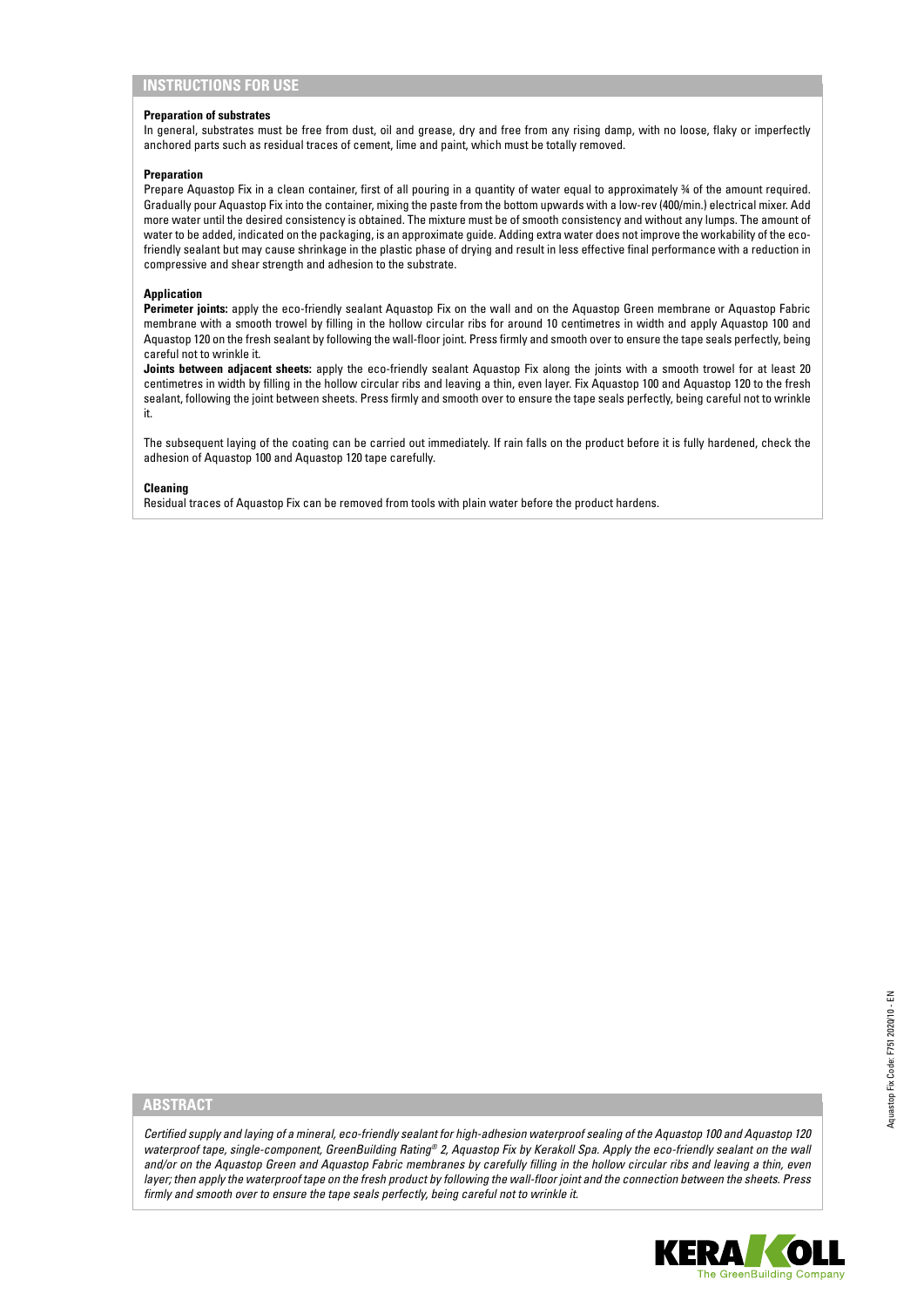## **INSTRUCTIONS FOR USE**

#### **Preparation of substrates**

In general, substrates must be free from dust, oil and grease, dry and free from any rising damp, with no loose, flaky or imperfectly anchored parts such as residual traces of cement, lime and paint, which must be totally removed.

#### **Preparation**

Prepare Aquastop Fix in a clean container, first of all pouring in a quantity of water equal to approximately ¾ of the amount required. Gradually pour Aquastop Fix into the container, mixing the paste from the bottom upwards with a low-rev (400/min.) electrical mixer. Add more water until the desired consistency is obtained. The mixture must be of smooth consistency and without any lumps. The amount of water to be added, indicated on the packaging, is an approximate guide. Adding extra water does not improve the workability of the ecofriendly sealant but may cause shrinkage in the plastic phase of drying and result in less effective final performance with a reduction in compressive and shear strength and adhesion to the substrate.

#### **Application**

Perimeter joints: apply the eco-friendly sealant Aquastop Fix on the wall and on the Aquastop Green membrane or Aquastop Fabric membrane with a smooth trowel by filling in the hollow circular ribs for around 10 centimetres in width and apply Aquastop 100 and Aquastop 120 on the fresh sealant by following the wall-floor joint. Press firmly and smooth over to ensure the tape seals perfectly, being careful not to wrinkle it.

**Joints between adjacent sheets:** apply the eco-friendly sealant Aquastop Fix along the joints with a smooth trowel for at least 20 centimetres in width by filling in the hollow circular ribs and leaving a thin, even layer. Fix Aquastop 100 and Aquastop 120 to the fresh sealant, following the joint between sheets. Press firmly and smooth over to ensure the tape seals perfectly, being careful not to wrinkle it.

The subsequent laying of the coating can be carried out immediately. If rain falls on the product before it is fully hardened, check the adhesion of Aquastop 100 and Aquastop 120 tape carefully.

#### **Cleaning**

Residual traces of Aquastop Fix can be removed from tools with plain water before the product hardens.

## **ABSTRACT**

*Certified supply and laying of a mineral, eco-friendly sealant for high-adhesion waterproof sealing of the Aquastop 100 and Aquastop 120 waterproof tape, single-component, GreenBuilding Rating® 2, Aquastop Fix by Kerakoll Spa. Apply the eco-friendly sealant on the wall and/or on the Aquastop Green and Aquastop Fabric membranes by carefully filling in the hollow circular ribs and leaving a thin, even layer; then apply the waterproof tape on the fresh product by following the wall-floor joint and the connection between the sheets. Press firmly and smooth over to ensure the tape seals perfectly, being careful not to wrinkle it.*